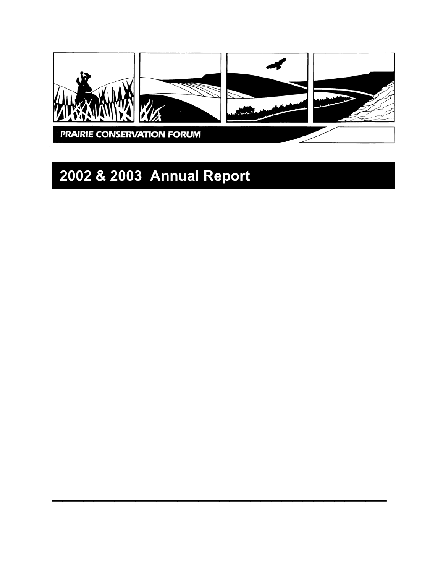

 $\mathcal{L}_\text{max}$  and  $\mathcal{L}_\text{max}$  and  $\mathcal{L}_\text{max}$  and  $\mathcal{L}_\text{max}$  and  $\mathcal{L}_\text{max}$ 

# **2002 & 2003 Annual Report**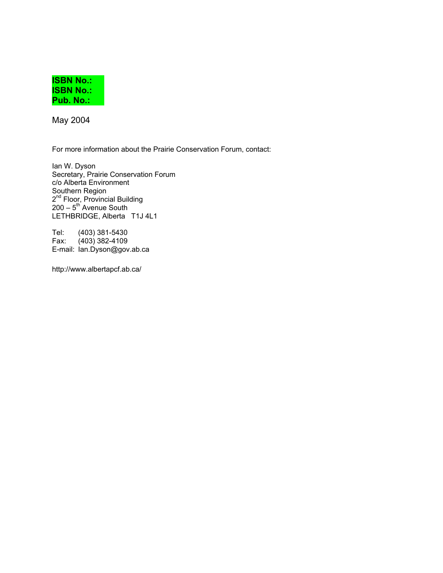

May 2004

For more information about the Prairie Conservation Forum, contact:

Ian W. Dyson Secretary, Prairie Conservation Forum c/o Alberta Environment Southern Region 2<sup>nd</sup> Floor, Provincial Building  $200 - 5$ <sup>th</sup> Avenue South LETHBRIDGE, Alberta T1J 4L1

Tel: (403) 381-5430 Fax: (403) 382-4109 E-mail: Ian.Dyson@gov.ab.ca

http://www.albertapcf.ab.ca/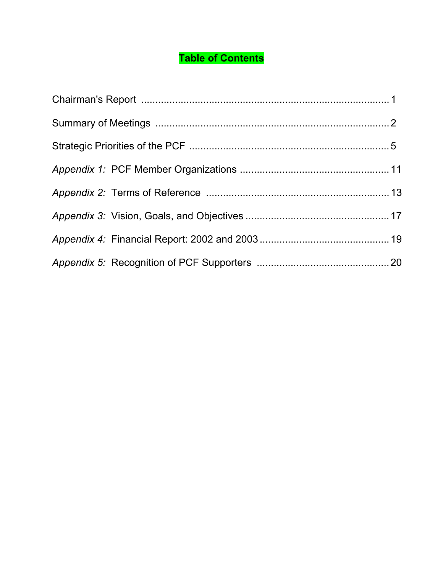## **Table of Contents**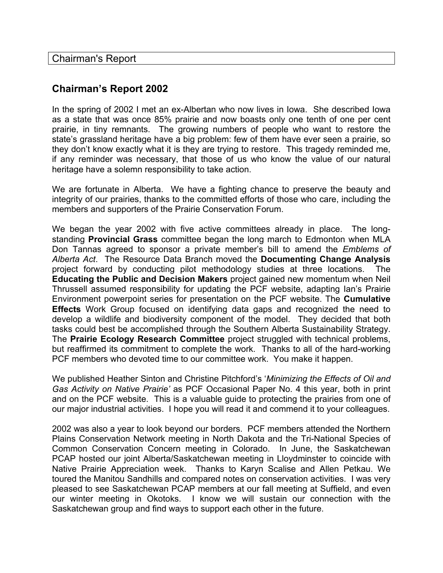Chairman's Report

## **Chairman's Report 2002**

In the spring of 2002 I met an ex-Albertan who now lives in Iowa. She described Iowa as a state that was once 85% prairie and now boasts only one tenth of one per cent prairie, in tiny remnants. The growing numbers of people who want to restore the state's grassland heritage have a big problem: few of them have ever seen a prairie, so they don't know exactly what it is they are trying to restore. This tragedy reminded me, if any reminder was necessary, that those of us who know the value of our natural heritage have a solemn responsibility to take action.

We are fortunate in Alberta. We have a fighting chance to preserve the beauty and integrity of our prairies, thanks to the committed efforts of those who care, including the members and supporters of the Prairie Conservation Forum.

We began the year 2002 with five active committees already in place. The longstanding **Provincial Grass** committee began the long march to Edmonton when MLA Don Tannas agreed to sponsor a private member's bill to amend the *Emblems of Alberta Act*. The Resource Data Branch moved the **Documenting Change Analysis** project forward by conducting pilot methodology studies at three locations. **Educating the Public and Decision Makers** project gained new momentum when Neil Thrussell assumed responsibility for updating the PCF website, adapting Ian's Prairie Environment powerpoint series for presentation on the PCF website. The **Cumulative Effects** Work Group focused on identifying data gaps and recognized the need to develop a wildlife and biodiversity component of the model. They decided that both tasks could best be accomplished through the Southern Alberta Sustainability Strategy. The **Prairie Ecology Research Committee** project struggled with technical problems, but reaffirmed its commitment to complete the work. Thanks to all of the hard-working PCF members who devoted time to our committee work. You make it happen.

We published Heather Sinton and Christine Pitchford's '*Minimizing the Effects of Oil and Gas Activity on Native Prairie'* as PCF Occasional Paper No. 4 this year, both in print and on the PCF website. This is a valuable guide to protecting the prairies from one of our major industrial activities. I hope you will read it and commend it to your colleagues.

2002 was also a year to look beyond our borders. PCF members attended the Northern Plains Conservation Network meeting in North Dakota and the Tri-National Species of Common Conservation Concern meeting in Colorado. In June, the Saskatchewan PCAP hosted our joint Alberta/Saskatchewan meeting in Lloydminster to coincide with Native Prairie Appreciation week. Thanks to Karyn Scalise and Allen Petkau. We toured the Manitou Sandhills and compared notes on conservation activities. I was very pleased to see Saskatchewan PCAP members at our fall meeting at Suffield, and even our winter meeting in Okotoks. I know we will sustain our connection with the Saskatchewan group and find ways to support each other in the future.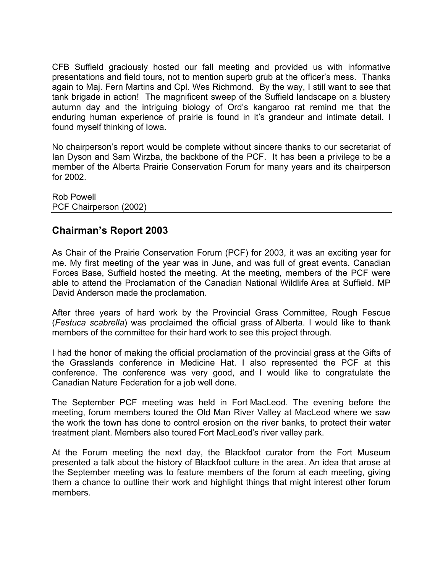CFB Suffield graciously hosted our fall meeting and provided us with informative presentations and field tours, not to mention superb grub at the officer's mess. Thanks again to Maj. Fern Martins and Cpl. Wes Richmond. By the way, I still want to see that tank brigade in action! The magnificent sweep of the Suffield landscape on a blustery autumn day and the intriguing biology of Ord's kangaroo rat remind me that the enduring human experience of prairie is found in it's grandeur and intimate detail. I found myself thinking of Iowa.

No chairperson's report would be complete without sincere thanks to our secretariat of Ian Dyson and Sam Wirzba, the backbone of the PCF. It has been a privilege to be a member of the Alberta Prairie Conservation Forum for many years and its chairperson for 2002.

Rob Powell PCF Chairperson (2002)

## **Chairman's Report 2003**

As Chair of the Prairie Conservation Forum (PCF) for 2003, it was an exciting year for me. My first meeting of the year was in June, and was full of great events. Canadian Forces Base, Suffield hosted the meeting. At the meeting, members of the PCF were able to attend the Proclamation of the Canadian National Wildlife Area at Suffield. MP David Anderson made the proclamation.

After three years of hard work by the Provincial Grass Committee, Rough Fescue (*Festuca scabrella*) was proclaimed the official grass of Alberta. I would like to thank members of the committee for their hard work to see this project through.

I had the honor of making the official proclamation of the provincial grass at the Gifts of the Grasslands conference in Medicine Hat. I also represented the PCF at this conference. The conference was very good, and I would like to congratulate the Canadian Nature Federation for a job well done.

The September PCF meeting was held in Fort MacLeod. The evening before the meeting, forum members toured the Old Man River Valley at MacLeod where we saw the work the town has done to control erosion on the river banks, to protect their water treatment plant. Members also toured Fort MacLeod's river valley park.

At the Forum meeting the next day, the Blackfoot curator from the Fort Museum presented a talk about the history of Blackfoot culture in the area. An idea that arose at the September meeting was to feature members of the forum at each meeting, giving them a chance to outline their work and highlight things that might interest other forum members.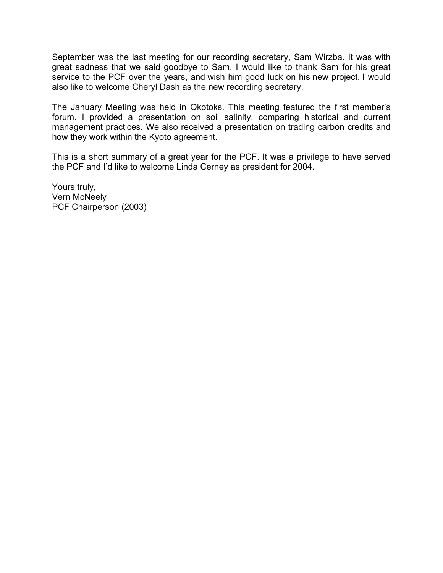September was the last meeting for our recording secretary, Sam Wirzba. It was with great sadness that we said goodbye to Sam. I would like to thank Sam for his great service to the PCF over the years, and wish him good luck on his new project. I would also like to welcome Cheryl Dash as the new recording secretary.

The January Meeting was held in Okotoks. This meeting featured the first member's forum. I provided a presentation on soil salinity, comparing historical and current management practices. We also received a presentation on trading carbon credits and how they work within the Kyoto agreement.

This is a short summary of a great year for the PCF. It was a privilege to have served the PCF and I'd like to welcome Linda Cerney as president for 2004.

Yours truly, Vern McNeely PCF Chairperson (2003)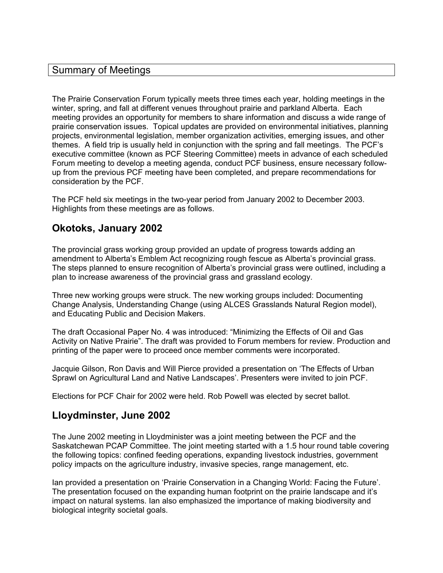### Summary of Meetings

The Prairie Conservation Forum typically meets three times each year, holding meetings in the winter, spring, and fall at different venues throughout prairie and parkland Alberta. Each meeting provides an opportunity for members to share information and discuss a wide range of prairie conservation issues. Topical updates are provided on environmental initiatives, planning projects, environmental legislation, member organization activities, emerging issues, and other themes. A field trip is usually held in conjunction with the spring and fall meetings. The PCF's executive committee (known as PCF Steering Committee) meets in advance of each scheduled Forum meeting to develop a meeting agenda, conduct PCF business, ensure necessary followup from the previous PCF meeting have been completed, and prepare recommendations for consideration by the PCF.

The PCF held six meetings in the two-year period from January 2002 to December 2003. Highlights from these meetings are as follows.

## **Okotoks, January 2002**

The provincial grass working group provided an update of progress towards adding an amendment to Alberta's Emblem Act recognizing rough fescue as Alberta's provincial grass. The steps planned to ensure recognition of Alberta's provincial grass were outlined, including a plan to increase awareness of the provincial grass and grassland ecology.

Three new working groups were struck. The new working groups included: Documenting Change Analysis, Understanding Change (using ALCES Grasslands Natural Region model), and Educating Public and Decision Makers.

The draft Occasional Paper No. 4 was introduced: "Minimizing the Effects of Oil and Gas Activity on Native Prairie". The draft was provided to Forum members for review. Production and printing of the paper were to proceed once member comments were incorporated.

Jacquie Gilson, Ron Davis and Will Pierce provided a presentation on 'The Effects of Urban Sprawl on Agricultural Land and Native Landscapes'. Presenters were invited to join PCF.

Elections for PCF Chair for 2002 were held. Rob Powell was elected by secret ballot.

## **Lloydminster, June 2002**

The June 2002 meeting in Lloydminister was a joint meeting between the PCF and the Saskatchewan PCAP Committee. The joint meeting started with a 1.5 hour round table covering the following topics: confined feeding operations, expanding livestock industries, government policy impacts on the agriculture industry, invasive species, range management, etc.

Ian provided a presentation on 'Prairie Conservation in a Changing World: Facing the Future'. The presentation focused on the expanding human footprint on the prairie landscape and it's impact on natural systems. Ian also emphasized the importance of making biodiversity and biological integrity societal goals.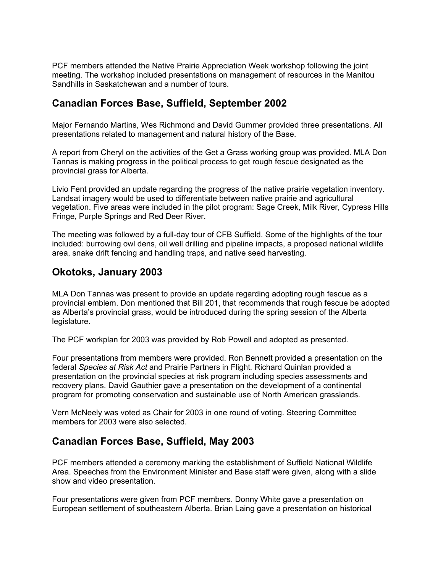PCF members attended the Native Prairie Appreciation Week workshop following the joint meeting. The workshop included presentations on management of resources in the Manitou Sandhills in Saskatchewan and a number of tours.

## **Canadian Forces Base, Suffield, September 2002**

Major Fernando Martins, Wes Richmond and David Gummer provided three presentations. All presentations related to management and natural history of the Base.

A report from Cheryl on the activities of the Get a Grass working group was provided. MLA Don Tannas is making progress in the political process to get rough fescue designated as the provincial grass for Alberta.

Livio Fent provided an update regarding the progress of the native prairie vegetation inventory. Landsat imagery would be used to differentiate between native prairie and agricultural vegetation. Five areas were included in the pilot program: Sage Creek, Milk River, Cypress Hills Fringe, Purple Springs and Red Deer River.

The meeting was followed by a full-day tour of CFB Suffield. Some of the highlights of the tour included: burrowing owl dens, oil well drilling and pipeline impacts, a proposed national wildlife area, snake drift fencing and handling traps, and native seed harvesting.

## **Okotoks, January 2003**

MLA Don Tannas was present to provide an update regarding adopting rough fescue as a provincial emblem. Don mentioned that Bill 201, that recommends that rough fescue be adopted as Alberta's provincial grass, would be introduced during the spring session of the Alberta legislature.

The PCF workplan for 2003 was provided by Rob Powell and adopted as presented.

Four presentations from members were provided. Ron Bennett provided a presentation on the federal *Species at Risk Act* and Prairie Partners in Flight*.* Richard Quinlan provided a presentation on the provincial species at risk program including species assessments and recovery plans. David Gauthier gave a presentation on the development of a continental program for promoting conservation and sustainable use of North American grasslands.

Vern McNeely was voted as Chair for 2003 in one round of voting. Steering Committee members for 2003 were also selected.

## **Canadian Forces Base, Suffield, May 2003**

PCF members attended a ceremony marking the establishment of Suffield National Wildlife Area. Speeches from the Environment Minister and Base staff were given, along with a slide show and video presentation.

Four presentations were given from PCF members. Donny White gave a presentation on European settlement of southeastern Alberta. Brian Laing gave a presentation on historical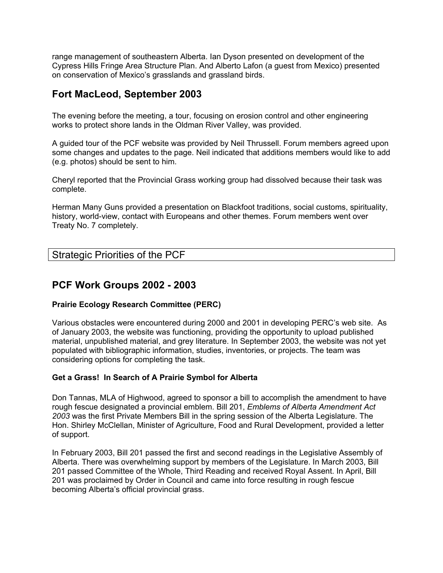range management of southeastern Alberta. Ian Dyson presented on development of the Cypress Hills Fringe Area Structure Plan. And Alberto Lafon (a guest from Mexico) presented on conservation of Mexico's grasslands and grassland birds.

## **Fort MacLeod, September 2003**

The evening before the meeting, a tour, focusing on erosion control and other engineering works to protect shore lands in the Oldman River Valley, was provided.

A guided tour of the PCF website was provided by Neil Thrussell. Forum members agreed upon some changes and updates to the page. Neil indicated that additions members would like to add (e.g. photos) should be sent to him.

Cheryl reported that the Provincial Grass working group had dissolved because their task was complete.

Herman Many Guns provided a presentation on Blackfoot traditions, social customs, spirituality, history, world-view, contact with Europeans and other themes. Forum members went over Treaty No. 7 completely.

| <b>Strategic Priorities of the PCF</b> |  |
|----------------------------------------|--|
|----------------------------------------|--|

## **PCF Work Groups 2002 - 2003**

#### **Prairie Ecology Research Committee (PERC)**

Various obstacles were encountered during 2000 and 2001 in developing PERC's web site. As of January 2003, the website was functioning, providing the opportunity to upload published material, unpublished material, and grey literature. In September 2003, the website was not yet populated with bibliographic information, studies, inventories, or projects. The team was considering options for completing the task.

#### **Get a Grass! In Search of A Prairie Symbol for Alberta**

Don Tannas, MLA of Highwood, agreed to sponsor a bill to accomplish the amendment to have rough fescue designated a provincial emblem. Bill 201, *Emblems of Alberta Amendment Act 2003* was the first Private Members Bill in the spring session of the Alberta Legislature. The Hon. Shirley McClellan, Minister of Agriculture, Food and Rural Development, provided a letter of support.

In February 2003, Bill 201 passed the first and second readings in the Legislative Assembly of Alberta. There was overwhelming support by members of the Legislature. In March 2003, Bill 201 passed Committee of the Whole, Third Reading and received Royal Assent. In April, Bill 201 was proclaimed by Order in Council and came into force resulting in rough fescue becoming Alberta's official provincial grass.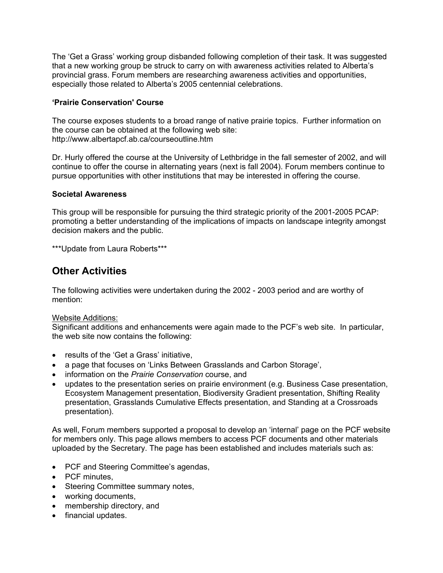The 'Get a Grass' working group disbanded following completion of their task. It was suggested that a new working group be struck to carry on with awareness activities related to Alberta's provincial grass. Forum members are researching awareness activities and opportunities, especially those related to Alberta's 2005 centennial celebrations.

#### **'Prairie Conservation' Course**

The course exposes students to a broad range of native prairie topics. Further information on the course can be obtained at the following web site: http://www.albertapcf.ab.ca/courseoutline.htm

Dr. Hurly offered the course at the University of Lethbridge in the fall semester of 2002, and will continue to offer the course in alternating years (next is fall 2004). Forum members continue to pursue opportunities with other institutions that may be interested in offering the course.

#### **Societal Awareness**

This group will be responsible for pursuing the third strategic priority of the 2001-2005 PCAP: promoting a better understanding of the implications of impacts on landscape integrity amongst decision makers and the public.

\*\*\*Update from Laura Roberts\*\*\*

## **Other Activities**

The following activities were undertaken during the 2002 - 2003 period and are worthy of mention:

#### Website Additions:

Significant additions and enhancements were again made to the PCF's web site. In particular, the web site now contains the following:

- results of the 'Get a Grass' initiative,
- a page that focuses on 'Links Between Grasslands and Carbon Storage',
- information on the *Prairie Conservation* course, and
- updates to the presentation series on prairie environment (e.g. Business Case presentation, Ecosystem Management presentation, Biodiversity Gradient presentation, Shifting Reality presentation, Grasslands Cumulative Effects presentation, and Standing at a Crossroads presentation).

As well, Forum members supported a proposal to develop an 'internal' page on the PCF website for members only. This page allows members to access PCF documents and other materials uploaded by the Secretary. The page has been established and includes materials such as:

- PCF and Steering Committee's agendas,
- PCF minutes,
- Steering Committee summary notes,
- working documents,
- membership directory, and
- financial updates.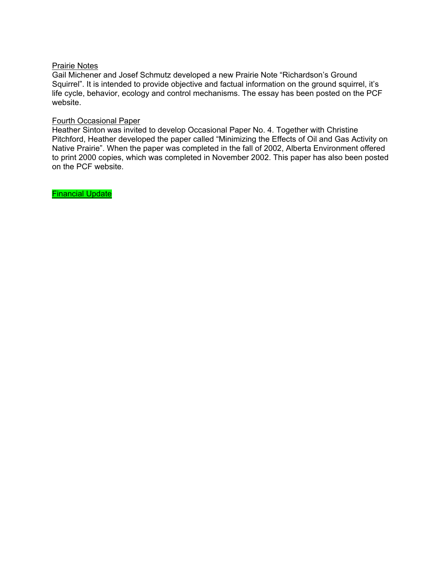#### Prairie Notes

Gail Michener and Josef Schmutz developed a new Prairie Note "Richardson's Ground Squirrel". It is intended to provide objective and factual information on the ground squirrel, it's life cycle, behavior, ecology and control mechanisms. The essay has been posted on the PCF website.

#### Fourth Occasional Paper

Heather Sinton was invited to develop Occasional Paper No. 4. Together with Christine Pitchford, Heather developed the paper called "Minimizing the Effects of Oil and Gas Activity on Native Prairie". When the paper was completed in the fall of 2002, Alberta Environment offered to print 2000 copies, which was completed in November 2002. This paper has also been posted on the PCF website.

Financial Update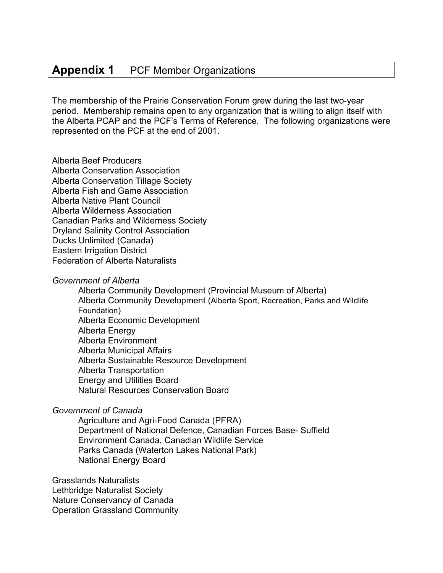## **Appendix 1** PCF Member Organizations

The membership of the Prairie Conservation Forum grew during the last two-year period. Membership remains open to any organization that is willing to align itself with the Alberta PCAP and the PCF's Terms of Reference. The following organizations were represented on the PCF at the end of 2001.

#### Alberta Beef Producers

Alberta Conservation Association Alberta Conservation Tillage Society Alberta Fish and Game Association Alberta Native Plant Council Alberta Wilderness Association Canadian Parks and Wilderness Society Dryland Salinity Control Association Ducks Unlimited (Canada) Eastern Irrigation District Federation of Alberta Naturalists

#### *Government of Alberta*

Alberta Community Development (Provincial Museum of Alberta) Alberta Community Development (Alberta Sport, Recreation, Parks and Wildlife Foundation) Alberta Economic Development Alberta Energy Alberta Environment Alberta Municipal Affairs Alberta Sustainable Resource Development Alberta Transportation Energy and Utilities Board Natural Resources Conservation Board

#### *Government of Canada*

Agriculture and Agri-Food Canada (PFRA) Department of National Defence, Canadian Forces Base- Suffield Environment Canada, Canadian Wildlife Service Parks Canada (Waterton Lakes National Park) National Energy Board

Grasslands Naturalists Lethbridge Naturalist Society Nature Conservancy of Canada Operation Grassland Community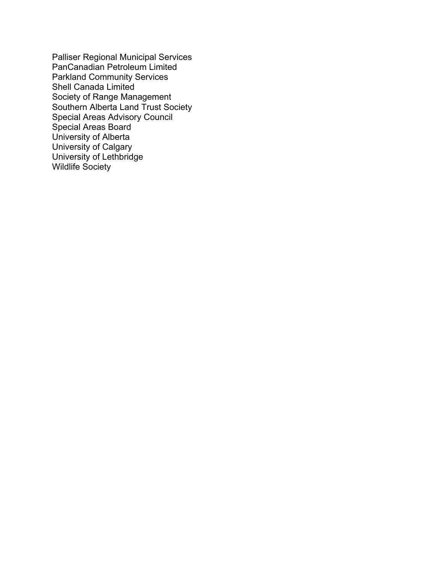Palliser Regional Municipal Services PanCanadian Petroleum Limited Parkland Community Services Shell Canada Limited Society of Range Management Southern Alberta Land Trust Society Special Areas Advisory Council Special Areas Board University of Alberta University of Calgary University of Lethbridge Wildlife Society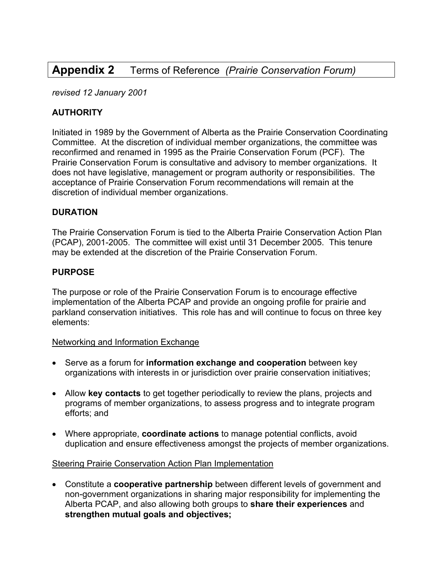## **Appendix 2** Terms of Reference *(Prairie Conservation Forum)*

*revised 12 January 2001* 

#### **AUTHORITY**

Initiated in 1989 by the Government of Alberta as the Prairie Conservation Coordinating Committee. At the discretion of individual member organizations, the committee was reconfirmed and renamed in 1995 as the Prairie Conservation Forum (PCF). The Prairie Conservation Forum is consultative and advisory to member organizations. It does not have legislative, management or program authority or responsibilities. The acceptance of Prairie Conservation Forum recommendations will remain at the discretion of individual member organizations.

#### **DURATION**

The Prairie Conservation Forum is tied to the Alberta Prairie Conservation Action Plan (PCAP), 2001-2005. The committee will exist until 31 December 2005. This tenure may be extended at the discretion of the Prairie Conservation Forum.

#### **PURPOSE**

The purpose or role of the Prairie Conservation Forum is to encourage effective implementation of the Alberta PCAP and provide an ongoing profile for prairie and parkland conservation initiatives. This role has and will continue to focus on three key elements:

#### Networking and Information Exchange

- Serve as a forum for **information exchange and cooperation** between key organizations with interests in or jurisdiction over prairie conservation initiatives;
- Allow **key contacts** to get together periodically to review the plans, projects and programs of member organizations, to assess progress and to integrate program efforts; and
- Where appropriate, **coordinate actions** to manage potential conflicts, avoid duplication and ensure effectiveness amongst the projects of member organizations.

#### Steering Prairie Conservation Action Plan Implementation

• Constitute a **cooperative partnership** between different levels of government and non-government organizations in sharing major responsibility for implementing the Alberta PCAP, and also allowing both groups to **share their experiences** and **strengthen mutual goals and objectives;**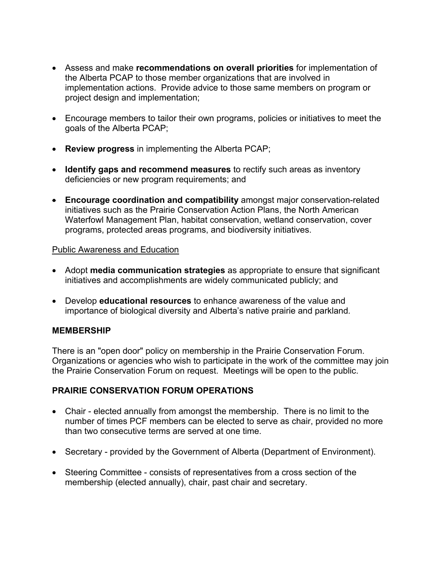- Assess and make **recommendations on overall priorities** for implementation of the Alberta PCAP to those member organizations that are involved in implementation actions. Provide advice to those same members on program or project design and implementation;
- Encourage members to tailor their own programs, policies or initiatives to meet the goals of the Alberta PCAP;
- **Review progress** in implementing the Alberta PCAP;
- **Identify gaps and recommend measures** to rectify such areas as inventory deficiencies or new program requirements; and
- **Encourage coordination and compatibility** amongst major conservation-related initiatives such as the Prairie Conservation Action Plans, the North American Waterfowl Management Plan, habitat conservation, wetland conservation, cover programs, protected areas programs, and biodiversity initiatives.

#### Public Awareness and Education

- Adopt **media communication strategies** as appropriate to ensure that significant initiatives and accomplishments are widely communicated publicly; and
- Develop **educational resources** to enhance awareness of the value and importance of biological diversity and Alberta's native prairie and parkland*.*

#### **MEMBERSHIP**

There is an "open door" policy on membership in the Prairie Conservation Forum. Organizations or agencies who wish to participate in the work of the committee may join the Prairie Conservation Forum on request. Meetings will be open to the public.

#### **PRAIRIE CONSERVATION FORUM OPERATIONS**

- Chair elected annually from amongst the membership. There is no limit to the number of times PCF members can be elected to serve as chair, provided no more than two consecutive terms are served at one time.
- Secretary provided by the Government of Alberta (Department of Environment).
- Steering Committee consists of representatives from a cross section of the membership (elected annually), chair, past chair and secretary.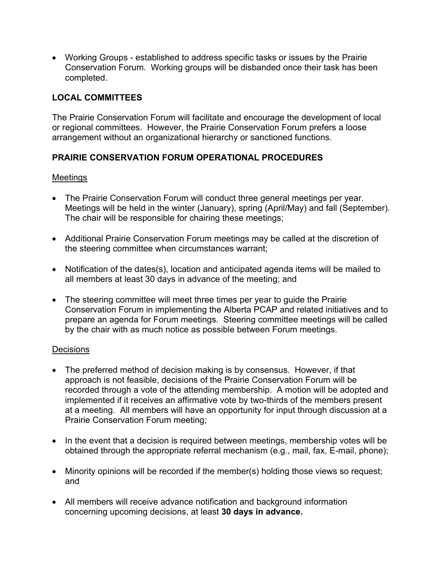• Working Groups - established to address specific tasks or issues by the Prairie Conservation Forum. Working groups will be disbanded once their task has been completed.

#### **LOCAL COMMITTEES**

The Prairie Conservation Forum will facilitate and encourage the development of local or regional committees. However, the Prairie Conservation Forum prefers a loose arrangement without an organizational hierarchy or sanctioned functions.

#### **PRAIRIE CONSERVATION FORUM OPERATIONAL PROCEDURES**

#### Meetings

- The Prairie Conservation Forum will conduct three general meetings per year. Meetings will be held in the winter (January), spring (April/May) and fall (September). The chair will be responsible for chairing these meetings;
- Additional Prairie Conservation Forum meetings may be called at the discretion of the steering committee when circumstances warrant;
- Notification of the dates(s), location and anticipated agenda items will be mailed to all members at least 30 days in advance of the meeting; and
- The steering committee will meet three times per year to quide the Prairie Conservation Forum in implementing the Alberta PCAP and related initiatives and to prepare an agenda for Forum meetings. Steering committee meetings will be called by the chair with as much notice as possible between Forum meetings.

#### **Decisions**

- The preferred method of decision making is by consensus. However, if that approach is not feasible, decisions of the Prairie Conservation Forum will be recorded through a vote of the attending membership. A motion will be adopted and implemented if it receives an affirmative vote by two-thirds of the members present at a meeting. All members will have an opportunity for input through discussion at a Prairie Conservation Forum meeting;
- In the event that a decision is required between meetings, membership votes will be obtained through the appropriate referral mechanism (e.g., mail, fax, E-mail, phone);
- Minority opinions will be recorded if the member(s) holding those views so request; and
- All members will receive advance notification and background information concerning upcoming decisions, at least **30 days in advance.**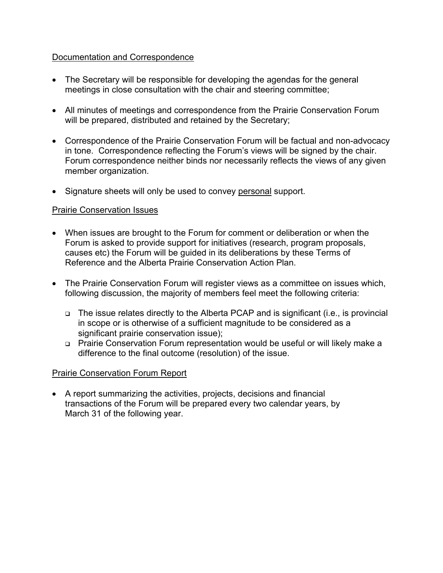#### Documentation and Correspondence

- The Secretary will be responsible for developing the agendas for the general meetings in close consultation with the chair and steering committee;
- All minutes of meetings and correspondence from the Prairie Conservation Forum will be prepared, distributed and retained by the Secretary;
- Correspondence of the Prairie Conservation Forum will be factual and non-advocacy in tone. Correspondence reflecting the Forum's views will be signed by the chair. Forum correspondence neither binds nor necessarily reflects the views of any given member organization.
- Signature sheets will only be used to convey personal support.

#### Prairie Conservation Issues

- When issues are brought to the Forum for comment or deliberation or when the Forum is asked to provide support for initiatives (research, program proposals, causes etc) the Forum will be guided in its deliberations by these Terms of Reference and the Alberta Prairie Conservation Action Plan.
- The Prairie Conservation Forum will register views as a committee on issues which, following discussion, the majority of members feel meet the following criteria:
	- □ The issue relates directly to the Alberta PCAP and is significant (i.e., is provincial in scope or is otherwise of a sufficient magnitude to be considered as a significant prairie conservation issue);
	- □ Prairie Conservation Forum representation would be useful or will likely make a difference to the final outcome (resolution) of the issue.

#### Prairie Conservation Forum Report

• A report summarizing the activities, projects, decisions and financial transactions of the Forum will be prepared every two calendar years, by March 31 of the following year.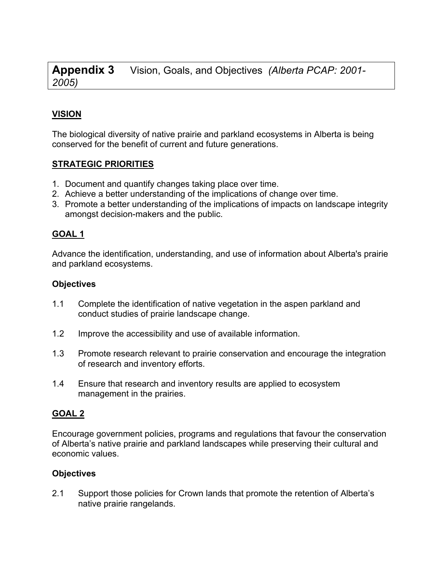**Appendix 3** Vision, Goals, and Objectives *(Alberta PCAP: 2001- 2005)*

## **VISION**

The biological diversity of native prairie and parkland ecosystems in Alberta is being conserved for the benefit of current and future generations.

#### **STRATEGIC PRIORITIES**

- 1. Document and quantify changes taking place over time.
- 2. Achieve a better understanding of the implications of change over time.
- 3. Promote a better understanding of the implications of impacts on landscape integrity amongst decision-makers and the public.

#### **GOAL 1**

Advance the identification, understanding, and use of information about Alberta's prairie and parkland ecosystems.

#### **Objectives**

- 1.1 Complete the identification of native vegetation in the aspen parkland and conduct studies of prairie landscape change.
- 1.2 Improve the accessibility and use of available information.
- 1.3 Promote research relevant to prairie conservation and encourage the integration of research and inventory efforts.
- 1.4 Ensure that research and inventory results are applied to ecosystem management in the prairies.

#### **GOAL 2**

Encourage government policies, programs and regulations that favour the conservation of Alberta's native prairie and parkland landscapes while preserving their cultural and economic values.

#### **Objectives**

2.1 Support those policies for Crown lands that promote the retention of Alberta's native prairie rangelands.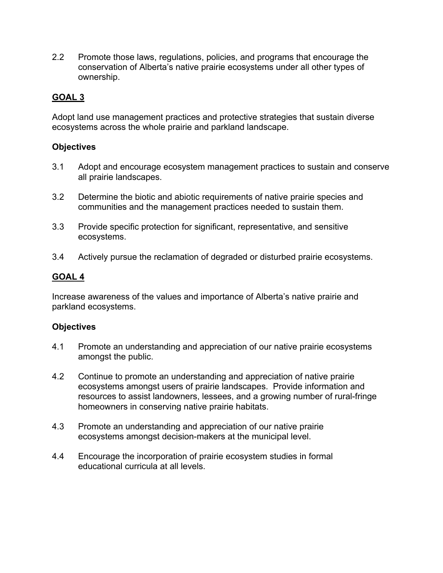2.2 Promote those laws, regulations, policies, and programs that encourage the conservation of Alberta's native prairie ecosystems under all other types of ownership.

## **GOAL 3**

Adopt land use management practices and protective strategies that sustain diverse ecosystems across the whole prairie and parkland landscape.

#### **Objectives**

- 3.1 Adopt and encourage ecosystem management practices to sustain and conserve all prairie landscapes.
- 3.2 Determine the biotic and abiotic requirements of native prairie species and communities and the management practices needed to sustain them.
- 3.3 Provide specific protection for significant, representative, and sensitive ecosystems.
- 3.4 Actively pursue the reclamation of degraded or disturbed prairie ecosystems.

#### **GOAL 4**

Increase awareness of the values and importance of Alberta's native prairie and parkland ecosystems.

#### **Objectives**

- 4.1 Promote an understanding and appreciation of our native prairie ecosystems amongst the public.
- 4.2 Continue to promote an understanding and appreciation of native prairie ecosystems amongst users of prairie landscapes. Provide information and resources to assist landowners, lessees, and a growing number of rural-fringe homeowners in conserving native prairie habitats.
- 4.3 Promote an understanding and appreciation of our native prairie ecosystems amongst decision-makers at the municipal level.
- 4.4 Encourage the incorporation of prairie ecosystem studies in formal educational curricula at all levels.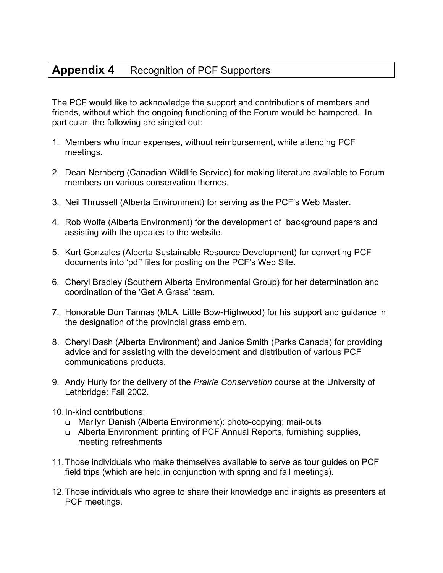## **Appendix 4** Recognition of PCF Supporters

The PCF would like to acknowledge the support and contributions of members and friends, without which the ongoing functioning of the Forum would be hampered. In particular, the following are singled out:

- 1. Members who incur expenses, without reimbursement, while attending PCF meetings.
- 2. Dean Nernberg (Canadian Wildlife Service) for making literature available to Forum members on various conservation themes.
- 3. Neil Thrussell (Alberta Environment) for serving as the PCF's Web Master.
- 4. Rob Wolfe (Alberta Environment) for the development of background papers and assisting with the updates to the website.
- 5. Kurt Gonzales (Alberta Sustainable Resource Development) for converting PCF documents into 'pdf' files for posting on the PCF's Web Site.
- 6. Cheryl Bradley (Southern Alberta Environmental Group) for her determination and coordination of the 'Get A Grass' team.
- 7. Honorable Don Tannas (MLA, Little Bow-Highwood) for his support and guidance in the designation of the provincial grass emblem.
- 8. Cheryl Dash (Alberta Environment) and Janice Smith (Parks Canada) for providing advice and for assisting with the development and distribution of various PCF communications products.
- 9. Andy Hurly for the delivery of the *Prairie Conservation* course at the University of Lethbridge: Fall 2002.
- 10. In-kind contributions:
	- Marilyn Danish (Alberta Environment): photo-copying; mail-outs
	- □ Alberta Environment: printing of PCF Annual Reports, furnishing supplies, meeting refreshments
- 11. Those individuals who make themselves available to serve as tour guides on PCF field trips (which are held in conjunction with spring and fall meetings).
- 12. Those individuals who agree to share their knowledge and insights as presenters at PCF meetings.